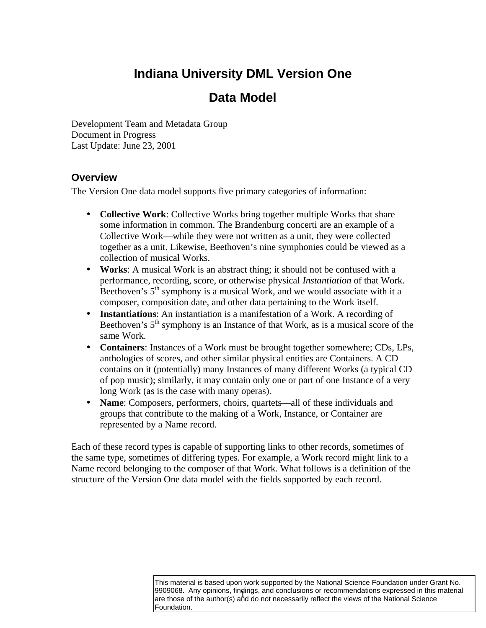# **Indiana University DML Version One**

## **Data Model**

Development Team and Metadata Group Document in Progress Last Update: June 23, 2001

#### **Overview**

The Version One data model supports five primary categories of information:

- **Collective Work**: Collective Works bring together multiple Works that share some information in common. The Brandenburg concerti are an example of a Collective Work—while they were not written as a unit, they were collected together as a unit. Likewise, Beethoven's nine symphonies could be viewed as a collection of musical Works.
- **Works:** A musical Work is an abstract thing; it should not be confused with a performance, recording, score, or otherwise physical *Instantiation* of that Work. Beethoven's  $5<sup>th</sup>$  symphony is a musical Work, and we would associate with it a composer, composition date, and other data pertaining to the Work itself.
- **Instantiations**: An instantiation is a manifestation of a Work. A recording of Beethoven's  $5<sup>th</sup>$  symphony is an Instance of that Work, as is a musical score of the same Work.
- **Containers**: Instances of a Work must be brought together somewhere; CDs, LPs, anthologies of scores, and other similar physical entities are Containers. A CD contains on it (potentially) many Instances of many different Works (a typical CD of pop music); similarly, it may contain only one or part of one Instance of a very long Work (as is the case with many operas).
- **Name**: Composers, performers, choirs, quartets—all of these individuals and groups that contribute to the making of a Work, Instance, or Container are represented by a Name record.

Each of these record types is capable of supporting links to other records, sometimes of the same type, sometimes of differing types. For example, a Work record might link to a Name record belonging to the composer of that Work. What follows is a definition of the structure of the Version One data model with the fields supported by each record.

> 9909068. Any opinions, finaings, and conclusions or recommendations expressed in this n<br>are those of the author(s) and do not necessarily reflect the views of the National Science This material is based upon work supported by the National Science Foundation under Grant No. 9909068. Any opinions, findings, and conclusions or recommendations expressed in this material Foundation.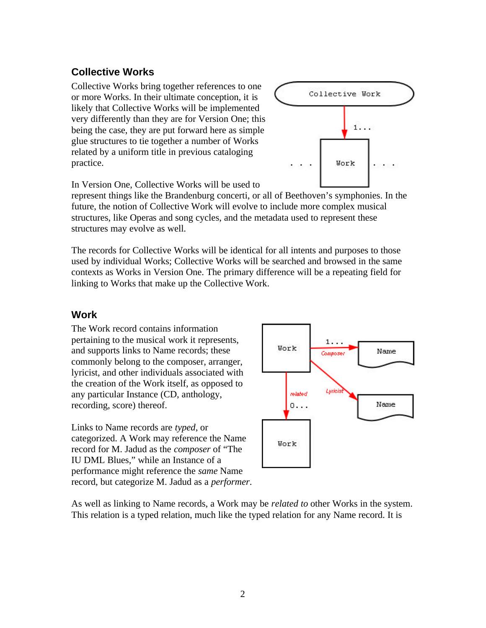### **Collective Works**

Collective Works bring together references to one or more Works. In their ultimate conception, it is likely that Collective Works will be implemented very differently than they are for Version One; this being the case, they are put forward here as simple glue structures to tie together a number of Works related by a uniform title in previous cataloging practice.



In Version One, Collective Works will be used to

represent things like the Brandenburg concerti, or all of Beethoven's symphonies. In the future, the notion of Collective Work will evolve to include more complex musical structures, like Operas and song cycles, and the metadata used to represent these structures may evolve as well.

The records for Collective Works will be identical for all intents and purposes to those used by individual Works; Collective Works will be searched and browsed in the same contexts as Works in Version One. The primary difference will be a repeating field for linking to Works that make up the Collective Work.

#### **Work**

The Work record contains information pertaining to the musical work it represents, and supports links to Name records; these commonly belong to the composer, arranger, lyricist, and other individuals associated with the creation of the Work itself, as opposed to any particular Instance (CD, anthology, recording, score) thereof.

Links to Name records are *typed*, or categorized. A Work may reference the Name record for M. Jadud as the *composer* of "The IU DML Blues," while an Instance of a performance might reference the *same* Name record, but categorize M. Jadud as a *performer*.



As well as linking to Name records, a Work may be *related to* other Works in the system. This relation is a typed relation, much like the typed relation for any Name record. It is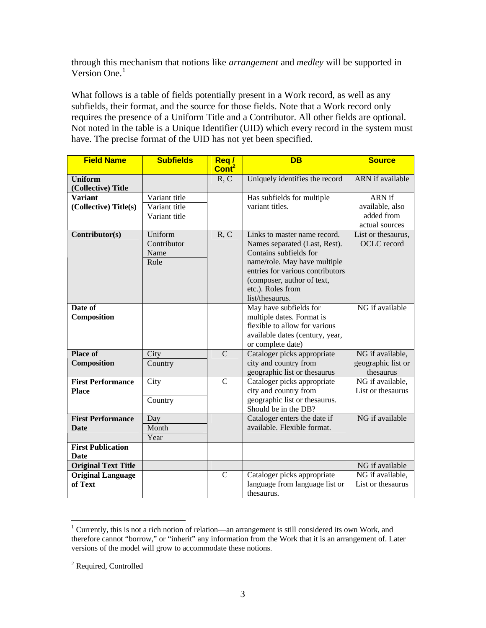through this mechanism that notions like *arrangement* and *medley* will be supported in Version One.<sup>1</sup>

What follows is a table of fields potentially present in a Work record, as well as any subfields, their format, and the source for those fields. Note that a Work record only requires the presence of a Uniform Title and a Contributor. All other fields are optional. Not noted in the table is a Unique Identifier (UID) which every record in the system must have. The precise format of the UID has not yet been specified.

| <b>Field Name</b>                                                 | <b>Subfields</b>                                | Reg/<br>Cont <sup>2</sup> | <b>DB</b>                                                                                                                                                                                                                         | <b>Source</b>                                             |
|-------------------------------------------------------------------|-------------------------------------------------|---------------------------|-----------------------------------------------------------------------------------------------------------------------------------------------------------------------------------------------------------------------------------|-----------------------------------------------------------|
| <b>Uniform</b><br>(Collective) Title                              |                                                 | R, C                      | Uniquely identifies the record                                                                                                                                                                                                    | <b>ARN</b> if available                                   |
| <b>Variant</b><br>(Collective) Title(s)                           | Variant title<br>Variant title<br>Variant title |                           | Has subfields for multiple<br>variant titles.                                                                                                                                                                                     | ARN if<br>available, also<br>added from<br>actual sources |
| Contributor(s)                                                    | Uniform<br>Contributor<br>Name<br>Role          | R, C                      | Links to master name record.<br>Names separated (Last, Rest).<br>Contains subfields for<br>name/role. May have multiple<br>entries for various contributors<br>(composer, author of text,<br>etc.). Roles from<br>list/thesaurus. | List or thesaurus,<br>OCLC record                         |
| Date of<br>Composition                                            |                                                 |                           | May have subfields for<br>multiple dates. Format is<br>flexible to allow for various<br>available dates (century, year,<br>or complete date)                                                                                      | NG if available                                           |
| <b>Place of</b><br>Composition                                    | City<br>Country                                 | $\mathcal{C}$             | Cataloger picks appropriate<br>city and country from<br>geographic list or thesaurus                                                                                                                                              | NG if available,<br>geographic list or<br>thesaurus       |
| <b>First Performance</b><br><b>Place</b>                          | City<br>Country                                 | $\mathcal{C}$             | Cataloger picks appropriate<br>city and country from<br>geographic list or thesaurus.<br>Should be in the DB?                                                                                                                     | NG if available,<br>List or the saurus                    |
| <b>First Performance</b><br><b>Date</b>                           | Day<br>Month<br>Year                            |                           | Cataloger enters the date if<br>available. Flexible format.                                                                                                                                                                       | NG if available                                           |
| <b>First Publication</b><br><b>Date</b>                           |                                                 |                           |                                                                                                                                                                                                                                   |                                                           |
| <b>Original Text Title</b><br><b>Original Language</b><br>of Text |                                                 | $\mathbf C$               | Cataloger picks appropriate<br>language from language list or<br>thesaurus.                                                                                                                                                       | NG if available<br>NG if available,<br>List or the saurus |

 $\overline{a}$ <sup>1</sup> Currently, this is not a rich notion of relation—an arrangement is still considered its own Work, and therefore cannot "borrow," or "inherit" any information from the Work that it is an arrangement of. Later versions of the model will grow to accommodate these notions.

<sup>&</sup>lt;sup>2</sup> Required, Controlled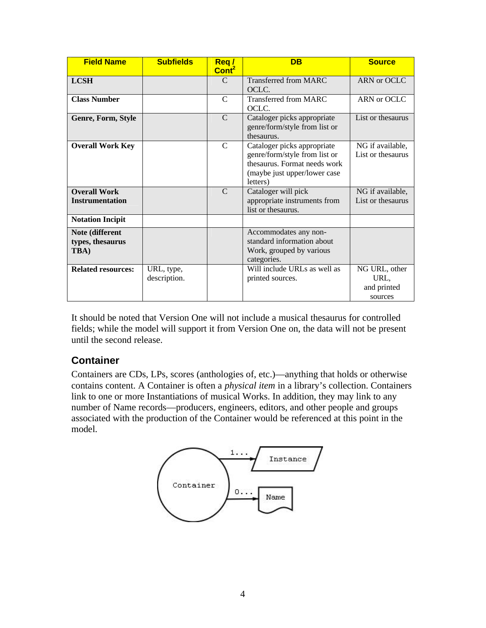| <b>Field Name</b>                             | <b>Subfields</b>           | Req/<br>Cont <sup>2</sup> | <b>DB</b>                                                                                                                                | <b>Source</b>                                   |
|-----------------------------------------------|----------------------------|---------------------------|------------------------------------------------------------------------------------------------------------------------------------------|-------------------------------------------------|
| <b>LCSH</b>                                   |                            | $\mathcal{C}$             | Transferred from MARC<br>OCLC.                                                                                                           | ARN or OCLC                                     |
| <b>Class Number</b>                           |                            | C                         | Transferred from MARC<br>OCLC.                                                                                                           | ARN or OCLC                                     |
| Genre, Form, Style                            |                            | $\mathcal{C}$             | Cataloger picks appropriate<br>genre/form/style from list or<br>thesaurus.                                                               | List or thesaurus                               |
| <b>Overall Work Key</b>                       |                            | C                         | Cataloger picks appropriate<br>genre/form/style from list or<br>thesaurus. Format needs work<br>(maybe just upper/lower case<br>letters) | NG if available,<br>List or the saurus          |
| <b>Overall Work</b><br><b>Instrumentation</b> |                            | $\mathcal{C}$             | Cataloger will pick<br>appropriate instruments from<br>list or thesaurus.                                                                | NG if available,<br>List or the saurus          |
| <b>Notation Incipit</b>                       |                            |                           |                                                                                                                                          |                                                 |
| Note (different<br>types, thesaurus<br>TBA)   |                            |                           | Accommodates any non-<br>standard information about<br>Work, grouped by various<br>categories.                                           |                                                 |
| <b>Related resources:</b>                     | URL, type,<br>description. |                           | Will include URLs as well as<br>printed sources.                                                                                         | NG URL, other<br>URL,<br>and printed<br>sources |

It should be noted that Version One will not include a musical thesaurus for controlled fields; while the model will support it from Version One on, the data will not be present until the second release.

### **Container**

Containers are CDs, LPs, scores (anthologies of, etc.)—anything that holds or otherwise contains content. A Container is often a *physical item* in a library's collection. Containers link to one or more Instantiations of musical Works. In addition, they may link to any number of Name records—producers, engineers, editors, and other people and groups associated with the production of the Container would be referenced at this point in the model.

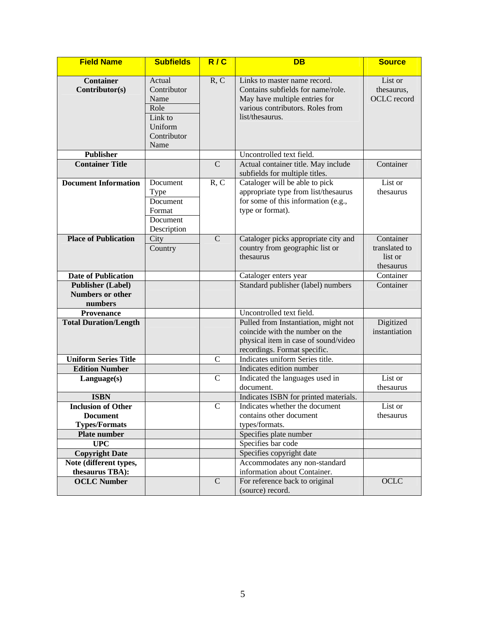| <b>Field Name</b>                                                    | <b>Subfields</b>                                                                   | R/C            | <b>DB</b>                                                                                                                                                 | <b>Source</b>                                      |
|----------------------------------------------------------------------|------------------------------------------------------------------------------------|----------------|-----------------------------------------------------------------------------------------------------------------------------------------------------------|----------------------------------------------------|
| <b>Container</b><br>Contributor(s)                                   | Actual<br>Contributor<br>Name<br>Role<br>Link to<br>Uniform<br>Contributor<br>Name | R, C           | Links to master name record.<br>Contains subfields for name/role.<br>May have multiple entries for<br>various contributors. Roles from<br>list/thesaurus. | List or<br>thesaurus,<br>OCLC record               |
| <b>Publisher</b>                                                     |                                                                                    |                | Uncontrolled text field.                                                                                                                                  |                                                    |
| <b>Container Title</b>                                               |                                                                                    | $\mathbf C$    | Actual container title. May include<br>subfields for multiple titles.                                                                                     | Container                                          |
| <b>Document Information</b>                                          | Document<br><b>Type</b><br>Document<br>Format<br>Document<br>Description           | R, C           | Cataloger will be able to pick<br>appropriate type from list/thesaurus<br>for some of this information (e.g.,<br>type or format).                         | List or<br>thesaurus                               |
| <b>Place of Publication</b>                                          | City<br>Country                                                                    | $\mathbf C$    | Cataloger picks appropriate city and<br>country from geographic list or<br>thesaurus                                                                      | Container<br>translated to<br>list or<br>thesaurus |
| <b>Date of Publication</b>                                           |                                                                                    |                | Cataloger enters year                                                                                                                                     | Container                                          |
| <b>Publisher (Label)</b><br><b>Numbers or other</b><br>numbers       |                                                                                    |                | Standard publisher (label) numbers                                                                                                                        | Container                                          |
| <b>Provenance</b>                                                    |                                                                                    |                | Uncontrolled text field.                                                                                                                                  |                                                    |
| <b>Total Duration/Length</b>                                         |                                                                                    |                | Pulled from Instantiation, might not<br>coincide with the number on the<br>physical item in case of sound/video<br>recordings. Format specific.           | Digitized<br>instantiation                         |
| <b>Uniform Series Title</b>                                          |                                                                                    | $\mathbf C$    | Indicates uniform Series title.                                                                                                                           |                                                    |
| <b>Edition Number</b>                                                |                                                                                    |                | Indicates edition number                                                                                                                                  |                                                    |
| Language(s)                                                          |                                                                                    | $\mathbf C$    | Indicated the languages used in<br>document.                                                                                                              | List or<br>thesaurus                               |
| <b>ISBN</b>                                                          |                                                                                    |                | Indicates ISBN for printed materials.                                                                                                                     |                                                    |
| <b>Inclusion of Other</b><br><b>Document</b><br><b>Types/Formats</b> |                                                                                    | $\overline{C}$ | Indicates whether the document<br>contains other document<br>types/formats.                                                                               | List or<br>thesaurus                               |
| Plate number                                                         |                                                                                    |                | Specifies plate number                                                                                                                                    |                                                    |
| <b>UPC</b>                                                           |                                                                                    |                | Specifies bar code                                                                                                                                        |                                                    |
| <b>Copyright Date</b>                                                |                                                                                    |                | Specifies copyright date                                                                                                                                  |                                                    |
| Note (different types,<br>thesaurus TBA):                            |                                                                                    |                | Accommodates any non-standard<br>information about Container.                                                                                             |                                                    |
| <b>OCLC Number</b>                                                   |                                                                                    | $\mathbf C$    | For reference back to original<br>(source) record.                                                                                                        | OCLC                                               |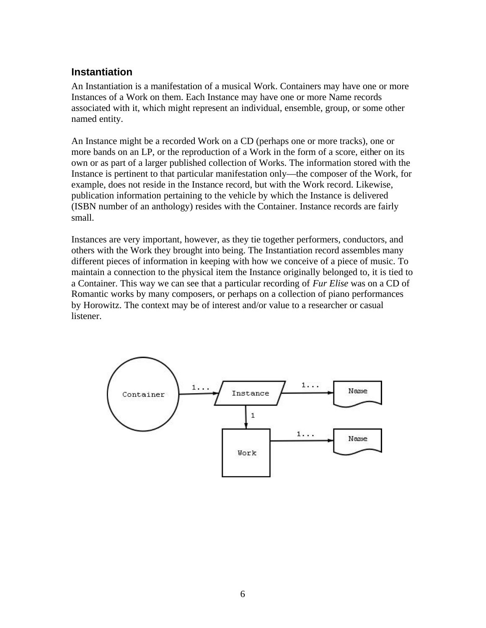#### **Instantiation**

An Instantiation is a manifestation of a musical Work. Containers may have one or more Instances of a Work on them. Each Instance may have one or more Name records associated with it, which might represent an individual, ensemble, group, or some other named entity.

An Instance might be a recorded Work on a CD (perhaps one or more tracks), one or more bands on an LP, or the reproduction of a Work in the form of a score, either on its own or as part of a larger published collection of Works. The information stored with the Instance is pertinent to that particular manifestation only—the composer of the Work, for example, does not reside in the Instance record, but with the Work record. Likewise, publication information pertaining to the vehicle by which the Instance is delivered (ISBN number of an anthology) resides with the Container. Instance records are fairly small.

Instances are very important, however, as they tie together performers, conductors, and others with the Work they brought into being. The Instantiation record assembles many different pieces of information in keeping with how we conceive of a piece of music. To maintain a connection to the physical item the Instance originally belonged to, it is tied to a Container. This way we can see that a particular recording of *Fur Elise* was on a CD of Romantic works by many composers, or perhaps on a collection of piano performances by Horowitz. The context may be of interest and/or value to a researcher or casual listener.

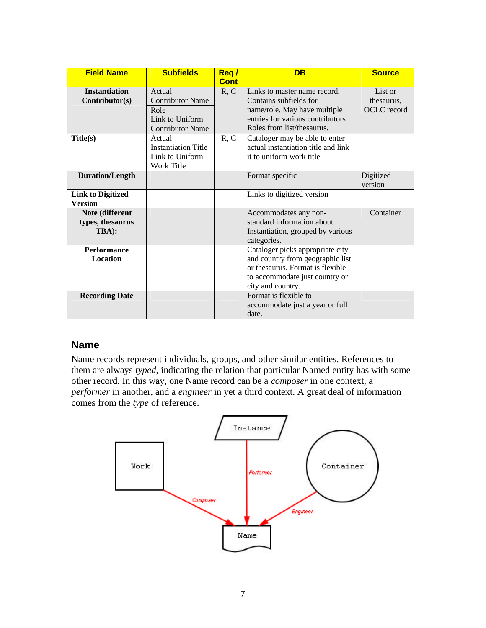| <b>Field Name</b>                            | <b>Subfields</b>                                                                        | Req/<br><b>Cont</b> | <b>DB</b>                                                                                                                                                       | <b>Source</b>                        |
|----------------------------------------------|-----------------------------------------------------------------------------------------|---------------------|-----------------------------------------------------------------------------------------------------------------------------------------------------------------|--------------------------------------|
| <b>Instantiation</b><br>Contributor(s)       | Actual<br><b>Contributor Name</b><br>Role<br>Link to Uniform<br><b>Contributor Name</b> | R, C                | Links to master name record.<br>Contains subfields for<br>name/role. May have multiple<br>entries for various contributors.<br>Roles from list/thesaurus.       | List or<br>thesaurus.<br>OCLC record |
| Title(s)                                     | Actual<br><b>Instantiation Title</b><br>Link to Uniform<br>Work Title                   | R, C                | Cataloger may be able to enter<br>actual instantiation title and link<br>it to uniform work title                                                               |                                      |
| <b>Duration/Length</b>                       |                                                                                         |                     | Format specific                                                                                                                                                 | Digitized<br>version                 |
| <b>Link to Digitized</b><br><b>Version</b>   |                                                                                         |                     | Links to digitized version                                                                                                                                      |                                      |
| Note (different<br>types, thesaurus<br>TBA): |                                                                                         |                     | Accommodates any non-<br>standard information about<br>Instantiation, grouped by various<br>categories.                                                         | Container                            |
| <b>Performance</b><br><b>Location</b>        |                                                                                         |                     | Cataloger picks appropriate city<br>and country from geographic list<br>or thesaurus. Format is flexible<br>to accommodate just country or<br>city and country. |                                      |
| <b>Recording Date</b>                        |                                                                                         |                     | Format is flexible to<br>accommodate just a year or full<br>date.                                                                                               |                                      |

#### **Name**

Name records represent individuals, groups, and other similar entities. References to them are always *typed*, indicating the relation that particular Named entity has with some other record. In this way, one Name record can be a *composer* in one context, a *performer* in another, and a *engineer* in yet a third context. A great deal of information comes from the *type* of reference.

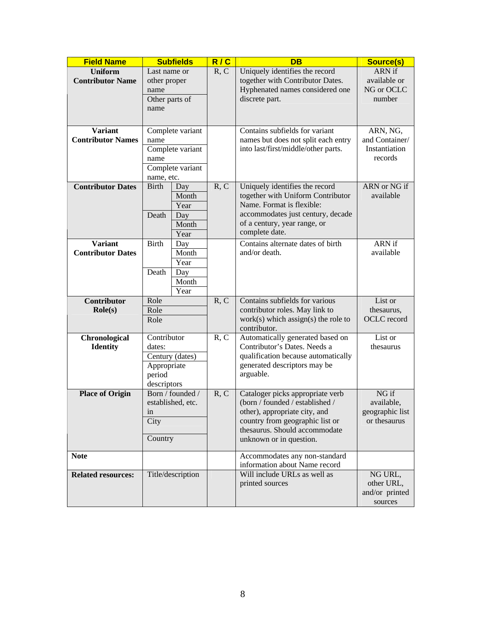| <b>Field Name</b>                         | <b>Subfields</b>                                                  |                   | R/C  | <b>DB</b>                                                                                                        | Source(s)              |
|-------------------------------------------|-------------------------------------------------------------------|-------------------|------|------------------------------------------------------------------------------------------------------------------|------------------------|
| <b>Uniform</b><br><b>Contributor Name</b> | Last name or<br>other proper                                      |                   | R, C | Uniquely identifies the record<br>together with Contributor Dates.                                               | ARN if<br>available or |
|                                           | name<br>Other parts of                                            |                   |      | Hyphenated names considered one<br>discrete part.                                                                | NG or OCLC<br>number   |
|                                           | name                                                              |                   |      |                                                                                                                  |                        |
| <b>Variant</b>                            |                                                                   | Complete variant  |      | Contains subfields for variant                                                                                   | ARN, NG,               |
| <b>Contributor Names</b>                  | name                                                              |                   |      | names but does not split each entry                                                                              | and Container/         |
|                                           |                                                                   | Complete variant  |      | into last/first/middle/other parts.                                                                              | Instantiation          |
|                                           | name                                                              |                   |      |                                                                                                                  | records                |
|                                           | name, etc.                                                        | Complete variant  |      |                                                                                                                  |                        |
| <b>Contributor Dates</b>                  | <b>Birth</b>                                                      | Day               | R, C | Uniquely identifies the record                                                                                   | ARN or NG if           |
|                                           |                                                                   | Month             |      | together with Uniform Contributor                                                                                | available              |
|                                           |                                                                   | Year              |      | Name. Format is flexible:                                                                                        |                        |
|                                           | Death                                                             | Day               |      | accommodates just century, decade                                                                                |                        |
|                                           |                                                                   | Month             |      | of a century, year range, or                                                                                     |                        |
|                                           |                                                                   | Year              |      | complete date.                                                                                                   |                        |
| <b>Variant</b>                            | <b>Birth</b>                                                      | Day               |      | Contains alternate dates of birth                                                                                | ARN if                 |
| <b>Contributor Dates</b>                  |                                                                   | Month             |      | and/or death.                                                                                                    | available              |
|                                           |                                                                   | Year              |      |                                                                                                                  |                        |
|                                           | Death                                                             | Day<br>Month      |      |                                                                                                                  |                        |
|                                           |                                                                   | Year              |      |                                                                                                                  |                        |
| <b>Contributor</b>                        | Role                                                              |                   | R, C | Contains subfields for various                                                                                   | List or                |
| $\text{Role}(s)$                          | Role                                                              |                   |      | contributor roles. May link to                                                                                   | thesaurus,             |
|                                           | Role                                                              |                   |      | $work(s)$ which assign(s) the role to                                                                            | OCLC record            |
|                                           |                                                                   |                   |      | contributor.                                                                                                     |                        |
| Chronological                             | Contributor                                                       |                   | R, C | Automatically generated based on                                                                                 | List or                |
| <b>Identity</b>                           | dates:<br>Century (dates)<br>Appropriate<br>period<br>descriptors |                   |      | Contributor's Dates. Needs a<br>qualification because automatically<br>generated descriptors may be<br>arguable. | thesaurus              |
|                                           |                                                                   |                   |      |                                                                                                                  |                        |
|                                           |                                                                   |                   |      |                                                                                                                  |                        |
|                                           |                                                                   |                   |      |                                                                                                                  |                        |
| <b>Place of Origin</b>                    | Born / founded /                                                  |                   | R, C | Cataloger picks appropriate verb                                                                                 | NG if                  |
|                                           | established, etc.<br>in<br>City<br>Country                        |                   |      | (born / founded / established /                                                                                  | available,             |
|                                           |                                                                   |                   |      | other), appropriate city, and                                                                                    | geographic list        |
|                                           |                                                                   |                   |      | country from geographic list or                                                                                  | or thesaurus           |
|                                           |                                                                   |                   |      | thesaurus. Should accommodate<br>unknown or in question.                                                         |                        |
|                                           |                                                                   |                   |      |                                                                                                                  |                        |
| <b>Note</b>                               |                                                                   |                   |      | Accommodates any non-standard<br>information about Name record                                                   |                        |
| <b>Related resources:</b>                 |                                                                   | Title/description |      | Will include URLs as well as                                                                                     | NG URL,                |
|                                           |                                                                   |                   |      | printed sources                                                                                                  | other URL,             |
|                                           |                                                                   |                   |      |                                                                                                                  | and/or printed         |
|                                           |                                                                   |                   |      |                                                                                                                  | sources                |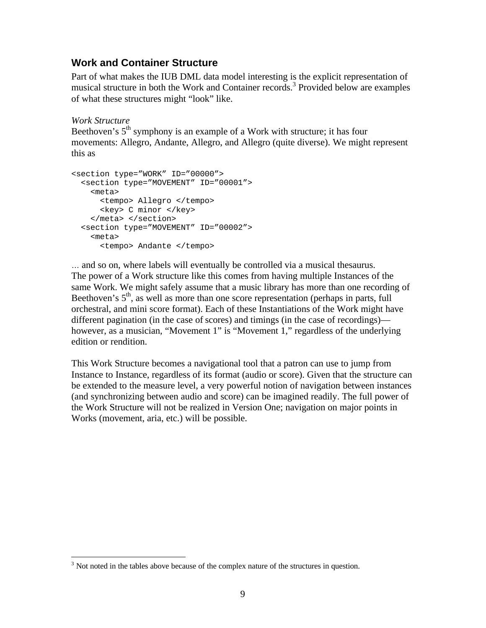#### **Work and Container Structure**

Part of what makes the IUB DML data model interesting is the explicit representation of musical structure in both the Work and Container records.<sup>3</sup> Provided below are examples of what these structures might "look" like.

*Work Structure*

Beethoven's  $5<sup>th</sup>$  symphony is an example of a Work with structure; it has four movements: Allegro, Andante, Allegro, and Allegro (quite diverse). We might represent this as

```
<section type="WORK" ID="00000">
<section type="MOVEMENT" ID="00001">
  <meta>
    <tempo> Allegro </tempo>
    <key> C minor </key>
  </meta> </section>
<section type="MOVEMENT" ID="00002">
  <meta>
    <tempo> Andante </tempo>
```
… and so on, where labels will eventually be controlled via a musical thesaurus. The power of a Work structure like this comes from having multiple Instances of the same Work. We might safely assume that a music library has more than one recording of Beethoven's  $5<sup>th</sup>$ , as well as more than one score representation (perhaps in parts, full orchestral, and mini score format). Each of these Instantiations of the Work might have different pagination (in the case of scores) and timings (in the case of recordings) however, as a musician, "Movement 1" is "Movement 1," regardless of the underlying edition or rendition.

This Work Structure becomes a navigational tool that a patron can use to jump from Instance to Instance, regardless of its format (audio or score). Given that the structure can be extended to the measure level, a very powerful notion of navigation between instances (and synchronizing between audio and score) can be imagined readily. The full power of the Work Structure will not be realized in Version One; navigation on major points in Works (movement, aria, etc.) will be possible.

<sup>1</sup>  $3$  Not noted in the tables above because of the complex nature of the structures in question.